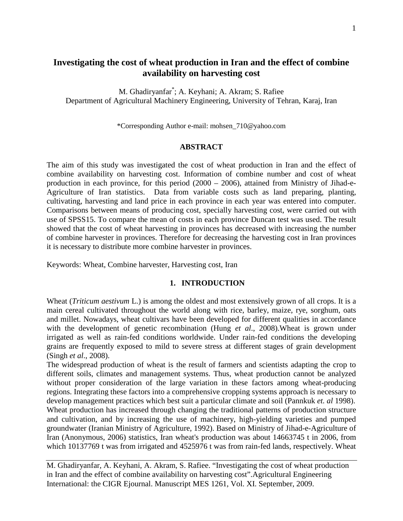# **Investigating the cost of wheat production in Iran and the effect of combine availability on harvesting cost**

M. Ghadiryanfar\* ; A. Keyhani; A. Akram; S. Rafiee Department of Agricultural Machinery Engineering, University of Tehran, Karaj, Iran

\*Corresponding Author e-mail: mohsen\_710@yahoo.com

#### **ABSTRACT**

The aim of this study was investigated the cost of wheat production in Iran and the effect of combine availability on harvesting cost. Information of combine number and cost of wheat production in each province, for this period (2000 – 2006), attained from Ministry of Jihad-e-Agriculture of Iran statistics. Data from variable costs such as land preparing, planting, cultivating, harvesting and land price in each province in each year was entered into computer. Comparisons between means of producing cost, specially harvesting cost, were carried out with use of SPSS15. To compare the mean of costs in each province Duncan test was used. The result showed that the cost of wheat harvesting in provinces has decreased with increasing the number of combine harvester in provinces. Therefore for decreasing the harvesting cost in Iran provinces it is necessary to distribute more combine harvester in provinces.

Keywords: Wheat, Combine harvester, Harvesting cost, Iran

#### **1. INTRODUCTION**

Wheat (*Triticum aestivum* L.) is among the oldest and most extensively grown of all crops. It is a main cereal cultivated throughout the world along with rice, barley, maize, rye, sorghum, oats and millet. Nowadays, wheat cultivars have been developed for different qualities in accordance with the development of genetic recombination (Hung *et al*., 2008).Wheat is grown under irrigated as well as rain-fed conditions worldwide. Under rain-fed conditions the developing grains are frequently exposed to mild to severe stress at different stages of grain development (Singh *et al*., 2008).

The widespread production of wheat is the result of farmers and scientists adapting the crop to different soils, climates and management systems. Thus, wheat production cannot be analyzed without proper consideration of the large variation in these factors among wheat-producing regions. Integrating these factors into a comprehensive cropping systems approach is necessary to develop management practices which best suit a particular climate and soil (Pannkuk *et. al* 1998). Wheat production has increased through changing the traditional patterns of production structure and cultivation, and by increasing the use of machinery, high-yielding varieties and pumped groundwater (Iranian Ministry of Agriculture, 1992). Based on Ministry of Jihad-e-Agriculture of Iran (Anonymous, 2006) statistics, Iran wheat's production was about 14663745 t in 2006, from which 10137769 t was from irrigated and 4525976 t was from rain-fed lands, respectively. Wheat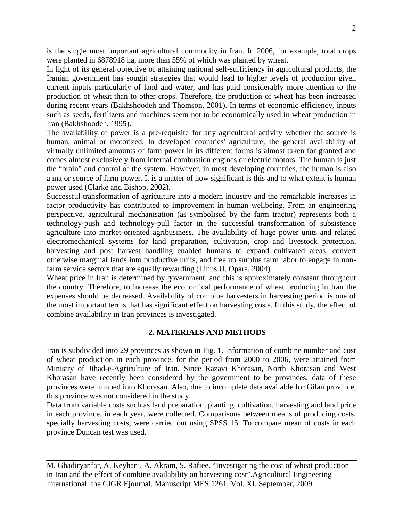is the single most important agricultural commodity in Iran. In 2006, for example, total crops were planted in 6878918 ha, more than 55% of which was planted by wheat.

In light of its general objective of attaining national self-sufficiency in agricultural products, the Iranian government has sought strategies that would lead to higher levels of production given current inputs particularly of land and water, and has paid considerably more attention to the production of wheat than to other crops. Therefore, the production of wheat has been increased during recent years (Bakhshoodeh and Thomson, 2001). In terms of economic efficiency, inputs such as seeds, fertilizers and machines seem not to be economically used in wheat production in Iran (Bakhshoodeh, 1995).

The availability of power is a pre-requisite for any agricultural activity whether the source is human, animal or motorized. In developed countries' agriculture, the general availability of virtually unlimited amounts of farm power in its different forms is almost taken for granted and comes almost exclusively from internal combustion engines or electric motors. The human is just the "brain" and control of the system. However, in most developing countries, the human is also a major source of farm power. It is a matter of how significant is this and to what extent is human power used (Clarke and Bishop, 2002).

Successful transformation of agriculture into a modern industry and the remarkable increases in factor productivity has contributed to improvement in human wellbeing. From an engineering perspective, agricultural mechanisation (as symbolised by the farm tractor) represents both a technology-push and technology-pull factor in the successful transformation of subsistence agriculture into market-oriented agribusiness. The availability of huge power units and related electromechanical systems for land preparation, cultivation, crop and livestock protection, harvesting and post harvest handling enabled humans to expand cultivated areas, convert otherwise marginal lands into productive units, and free up surplus farm labor to engage in nonfarm service sectors that are equally rewarding (Linus U. Opara, 2004)

Wheat price in Iran is determined by government, and this is approximately constant throughout the country. Therefore, to increase the economical performance of wheat producing in Iran the expenses should be decreased. Availability of combine harvesters in harvesting period is one of the most important terms that has significant effect on harvesting costs. In this study, the effect of combine availability in Iran provinces is investigated.

## **2. MATERIALS AND METHODS**

Iran is subdivided into 29 provinces as shown in Fig. 1. Information of combine number and cost of wheat production in each province, for the period from 2000 to 2006, were attained from Ministry of Jihad-e-Agriculture of Iran. Since Razavi Khorasan, North Khorasan and West Khorasan have recently been considered by the government to be provinces, data of these provinces were lumped into Khorasan. Also, due to incomplete data available for Gilan province, this province was not considered in the study.

Data from variable costs such as land preparation, planting, cultivation, harvesting and land price in each province, in each year, were collected. Comparisons between means of producing costs, specially harvesting costs, were carried out using SPSS 15. To compare mean of costs in each province Duncan test was used.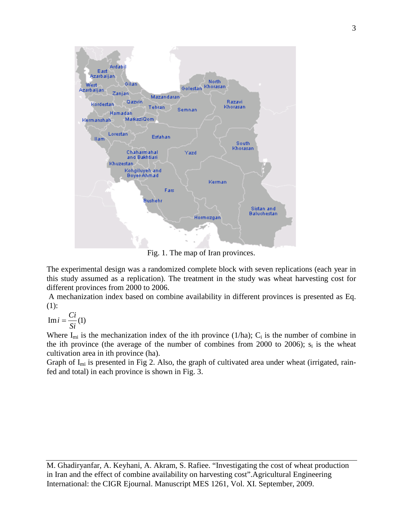

Fig. 1. The map of Iran provinces.

The experimental design was a randomized complete block with seven replications (each year in this study assumed as a replication). The treatment in the study was wheat harvesting cost for different provinces from 2000 to 2006.

A mechanization index based on combine availability in different provinces is presented as Eq. (1):

 $\text{Im } i = \frac{Ci}{Si}(1)$ 

Where  $I_{mi}$  is the mechanization index of the ith province (1/ha);  $C_i$  is the number of combine in the ith province (the average of the number of combines from 2000 to 2006);  $s_i$  is the wheat cultivation area in ith province (ha).

Graph of  $I_{mi}$  is presented in Fig 2. Also, the graph of cultivated area under wheat (irrigated, rainfed and total) in each province is shown in Fig. 3.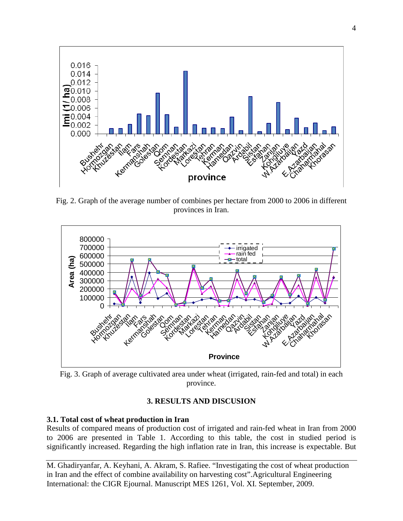

Fig. 2. Graph of the average number of combines per hectare from 2000 to 2006 in different provinces in Iran.



Fig. 3. Graph of average cultivated area under wheat (irrigated, rain-fed and total) in each province.

## **3. RESULTS AND DISCUSION**

## **3.1. Total cost of wheat production in Iran**

Results of compared means of production cost of irrigated and rain-fed wheat in Iran from 2000 to 2006 are presented in Table 1. According to this table, the cost in studied period is significantly increased. Regarding the high inflation rate in Iran, this increase is expectable. But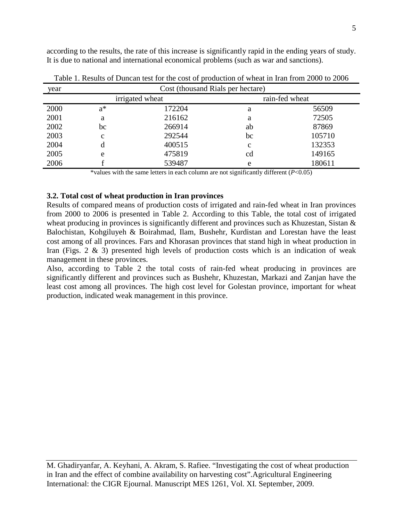according to the results, the rate of this increase is significantly rapid in the ending years of study. It is due to national and international economical problems (such as war and sanctions).

| year | Cost (thousand Rials per hectare) |        |                |        |  |
|------|-----------------------------------|--------|----------------|--------|--|
|      | irrigated wheat                   |        | rain-fed wheat |        |  |
| 2000 | $a^*$                             | 172204 | a              | 56509  |  |
| 2001 | a                                 | 216162 | a              | 72505  |  |
| 2002 | bc                                | 266914 | ab             | 87869  |  |
| 2003 | $\mathbf c$                       | 292544 | bc             | 105710 |  |
| 2004 | d                                 | 400515 | $\mathbf c$    | 132353 |  |
| 2005 | e                                 | 475819 | cd             | 149165 |  |
| 2006 |                                   | 539487 | e              | 180611 |  |

Table 1. Results of Duncan test for the cost of production of wheat in Iran from 2000 to 2006

\*values with the same letters in each column are not significantly different (*P*<0.05)

### **3.2. Total cost of wheat production in Iran provinces**

Results of compared means of production costs of irrigated and rain-fed wheat in Iran provinces from 2000 to 2006 is presented in Table 2. According to this Table, the total cost of irrigated wheat producing in provinces is significantly different and provinces such as Khuzestan, Sistan & Balochistan, Kohgiluyeh & Boirahmad, Ilam, Bushehr, Kurdistan and Lorestan have the least cost among of all provinces. Fars and Khorasan provinces that stand high in wheat production in Iran (Figs. 2 & 3) presented high levels of production costs which is an indication of weak management in these provinces.

Also, according to Table 2 the total costs of rain-fed wheat producing in provinces are significantly different and provinces such as Bushehr, Khuzestan, Markazi and Zanjan have the least cost among all provinces. The high cost level for Golestan province, important for wheat production, indicated weak management in this province.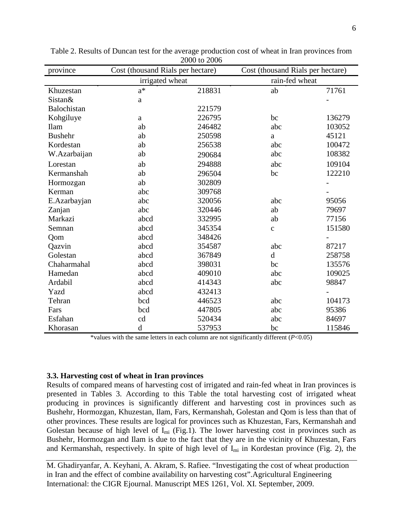| province       | Cost (thousand Rials per hectare) |        | Cost (thousand Rials per hectare) |        |
|----------------|-----------------------------------|--------|-----------------------------------|--------|
|                | irrigated wheat                   |        | rain-fed wheat                    |        |
| Khuzestan      | $a^*$                             | 218831 | ab                                | 71761  |
| Sistan&        | $\rm{a}$                          |        |                                   |        |
| Balochistan    |                                   | 221579 |                                   |        |
| Kohgiluye      | a                                 | 226795 | bc                                | 136279 |
| <b>Ilam</b>    | ab                                | 246482 | abc                               | 103052 |
| <b>Bushehr</b> | ab                                | 250598 | a                                 | 45121  |
| Kordestan      | ab                                | 256538 | abc                               | 100472 |
| W.Azarbaijan   | ab                                | 290684 | abc                               | 108382 |
| Lorestan       | ab                                | 294888 | abc                               | 109104 |
| Kermanshah     | ab                                | 296504 | bc                                | 122210 |
| Hormozgan      | ab                                | 302809 |                                   |        |
| Kerman         | abc                               | 309768 |                                   |        |
| E.Azarbayjan   | abc                               | 320056 | abc                               | 95056  |
| Zanjan         | abc                               | 320446 | ab                                | 79697  |
| Markazi        | abcd                              | 332995 | ab                                | 77156  |
| Semnan         | abcd                              | 345354 | $\mathbf{C}$                      | 151580 |
| Qom            | abcd                              | 348426 |                                   |        |
| Qazvin         | abcd                              | 354587 | abc                               | 87217  |
| Golestan       | abcd                              | 367849 | $\mathbf d$                       | 258758 |
| Chaharmahal    | abcd                              | 398031 | bc                                | 135576 |
| Hamedan        | abcd                              | 409010 | abc                               | 109025 |
| Ardabil        | abcd                              | 414343 | abc                               | 98847  |
| Yazd           | abcd                              | 432413 |                                   |        |
| Tehran         | bcd                               | 446523 | abc                               | 104173 |
| Fars           | bcd                               | 447805 | abc                               | 95386  |
| Esfahan        | cd                                | 520434 | abc                               | 84697  |
| Khorasan       | $\mathbf d$                       | 537953 | bc                                | 115846 |

Table 2. Results of Duncan test for the average production cost of wheat in Iran provinces from 2000 to 2006

\*values with the same letters in each column are not significantly different (*P*<0.05)

### **3.3. Harvesting cost of wheat in Iran provinces**

Results of compared means of harvesting cost of irrigated and rain-fed wheat in Iran provinces is presented in Tables 3. According to this Table the total harvesting cost of irrigated wheat producing in provinces is significantly different and harvesting cost in provinces such as Bushehr, Hormozgan, Khuzestan, Ilam, Fars, Kermanshah, Golestan and Qom is less than that of other provinces. These results are logical for provinces such as Khuzestan, Fars, Kermanshah and Golestan because of high level of  $I_{mi}$  (Fig.1). The lower harvesting cost in provinces such as Bushehr, Hormozgan and Ilam is due to the fact that they are in the vicinity of Khuzestan, Fars and Kermanshah, respectively. In spite of high level of  $I<sub>mi</sub>$  in Kordestan province (Fig. 2), the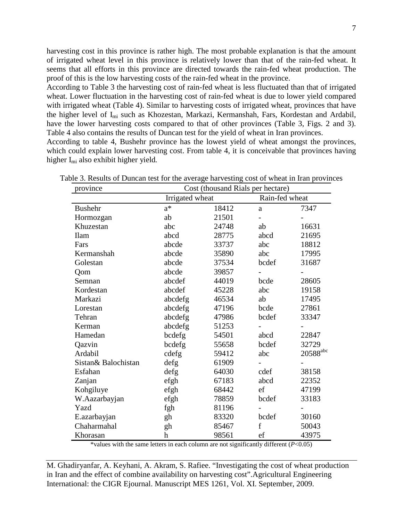According to Table 3 the harvesting cost of rain-fed wheat is less fluctuated than that of irrigated wheat. Lower fluctuation in the harvesting cost of rain-fed wheat is due to lower yield compared with irrigated wheat (Table 4). Similar to harvesting costs of irrigated wheat, provinces that have the higher level of Imi such as Khozestan, Markazi, Kermanshah, Fars, Kordestan and Ardabil, have the lower harvesting costs compared to that of other provinces (Table 3, Figs. 2 and 3). Table 4 also contains the results of Duncan test for the yield of wheat in Iran provinces.

According to table 4, Bushehr province has the lowest yield of wheat amongst the provinces, which could explain lower harvesting cost. From table 4, it is conceivable that provinces having higher Imi also exhibit higher yield.

| province            | Cost (thousand Rials per hectare) |       |                |                   |  |
|---------------------|-----------------------------------|-------|----------------|-------------------|--|
|                     | Irrigated wheat                   |       |                | Rain-fed wheat    |  |
| <b>Bushehr</b>      | $a^*$                             | 18412 | a              | 7347              |  |
| Hormozgan           | ab                                | 21501 | $\overline{a}$ |                   |  |
| Khuzestan           | abc                               | 24748 | ab             | 16631             |  |
| <b>Ilam</b>         | abcd                              | 28775 | abcd           | 21695             |  |
| Fars                | abcde                             | 33737 | abc            | 18812             |  |
| Kermanshah          | abcde                             | 35890 | abc            | 17995             |  |
| Golestan            | abcde                             | 37534 | bcdef          | 31687             |  |
| Qom                 | abcde                             | 39857 |                |                   |  |
| Semnan              | abcdef                            | 44019 | bcde           | 28605             |  |
| Kordestan           | abcdef                            | 45228 | abc            | 19158             |  |
| Markazi             | abcdefg                           | 46534 | ab             | 17495             |  |
| Lorestan            | abcdefg                           | 47196 | bcde           | 27861             |  |
| Tehran              | abcdefg                           | 47986 | bcdef          | 33347             |  |
| Kerman              | abcdefg                           | 51253 |                |                   |  |
| Hamedan             | bcdefg                            | 54501 | abcd           | 22847             |  |
| Qazvin              | bcdefg                            | 55658 | bcdef          | 32729             |  |
| Ardabil             | cdefg                             | 59412 | abc            | $20588^{\rm abc}$ |  |
| Sistan& Balochistan | $\text{defg}$                     | 61909 |                |                   |  |
| Esfahan             | defg                              | 64030 | cdef           | 38158             |  |
| Zanjan              | efgh                              | 67183 | abcd           | 22352             |  |
| Kohgiluye           | efgh                              | 68442 | ef             | 47199             |  |
| W.Aazarbayjan       | efgh                              | 78859 | bcdef          | 33183             |  |
| Yazd                | fgh                               | 81196 |                |                   |  |
| E.azarbayjan        | gh                                | 83320 | bcdef          | 30160             |  |
| Chaharmahal         | gh                                | 85467 | f              | 50043             |  |
| Khorasan            | h                                 | 98561 | ef             | 43975             |  |

Table 3. Results of Duncan test for the average harvesting cost of wheat in Iran provinces

\*values with the same letters in each column are not significantly different (*P*<0.05)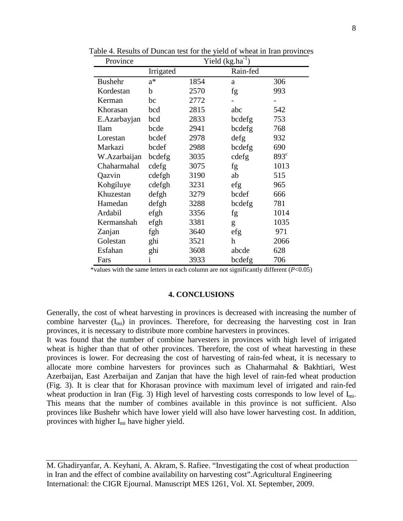| Province       | Yield $(kg.ha^{-1})$ |      |          |               |
|----------------|----------------------|------|----------|---------------|
|                | Irrigated            |      | Rain-fed |               |
| <b>Bushehr</b> | $a^*$                | 1854 | a        | 306           |
| Kordestan      | b                    | 2570 | fg       | 993           |
| Kerman         | bc                   | 2772 |          |               |
| Khorasan       | bcd                  | 2815 | abc      | 542           |
| E.Azarbayjan   | bcd                  | 2833 | bcdefg   | 753           |
| <b>Ilam</b>    | bcde                 | 2941 | bcdefg   | 768           |
| Lorestan       | bcdef                | 2978 | defg     | 932           |
| Markazi        | bcdef                | 2988 | bcdefg   | 690           |
| W.Azarbaijan   | bcdefg               | 3035 | cdefg    | $893^{\circ}$ |
| Chaharmahal    | cdefg                | 3075 | fg       | 1013          |
| Qazvin         | cdefgh               | 3190 | ab       | 515           |
| Kohgiluye      | cdefgh               | 3231 | efg      | 965           |
| Khuzestan      | defgh                | 3279 | bcdef    | 666           |
| Hamedan        | defgh                | 3288 | bcdefg   | 781           |
| Ardabil        | efgh                 | 3356 | fg       | 1014          |
| Kermanshah     | efgh                 | 3381 | g        | 1035          |
| Zanjan         | fgh                  | 3640 | efg      | 971           |
| Golestan       | ghi                  | 3521 | h        | 2066          |
| Esfahan        | ghi                  | 3608 | abcde    | 628           |
| Fars           | 1                    | 3933 | bcdefg   | 706           |

Table 4. Results of Duncan test for the yield of wheat in Iran provinces

\*values with the same letters in each column are not significantly different (*P*<0.05)

#### **4. CONCLUSIONS**

Generally, the cost of wheat harvesting in provinces is decreased with increasing the number of combine harvester  $(I_{mi})$  in provinces. Therefore, for decreasing the harvesting cost in Iran provinces, it is necessary to distribute more combine harvesters in provinces.

It was found that the number of combine harvesters in provinces with high level of irrigated wheat is higher than that of other provinces. Therefore, the cost of wheat harvesting in these provinces is lower. For decreasing the cost of harvesting of rain-fed wheat, it is necessary to allocate more combine harvesters for provinces such as Chaharmahal & Bakhtiari, West Azerbaijan, East Azerbaijan and Zanjan that have the high level of rain-fed wheat production (Fig. 3). It is clear that for Khorasan province with maximum level of irrigated and rain-fed wheat production in Iran (Fig. 3) High level of harvesting costs corresponds to low level of I<sub>mi</sub>. This means that the number of combines available in this province is not sufficient. Also provinces like Bushehr which have lower yield will also have lower harvesting cost. In addition, provinces with higher Imi have higher yield.